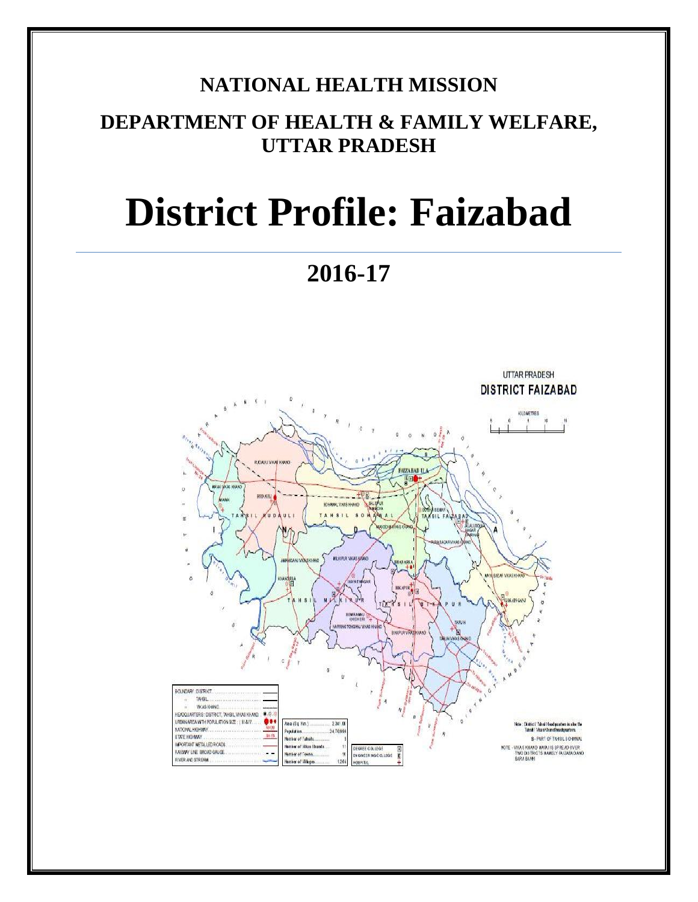## **NATIONAL HEALTH MISSION**

# **DEPARTMENT OF HEALTH & FAMILY WELFARE, UTTAR PRADESH**

# **District Profile: Faizabad**

**2016-17**

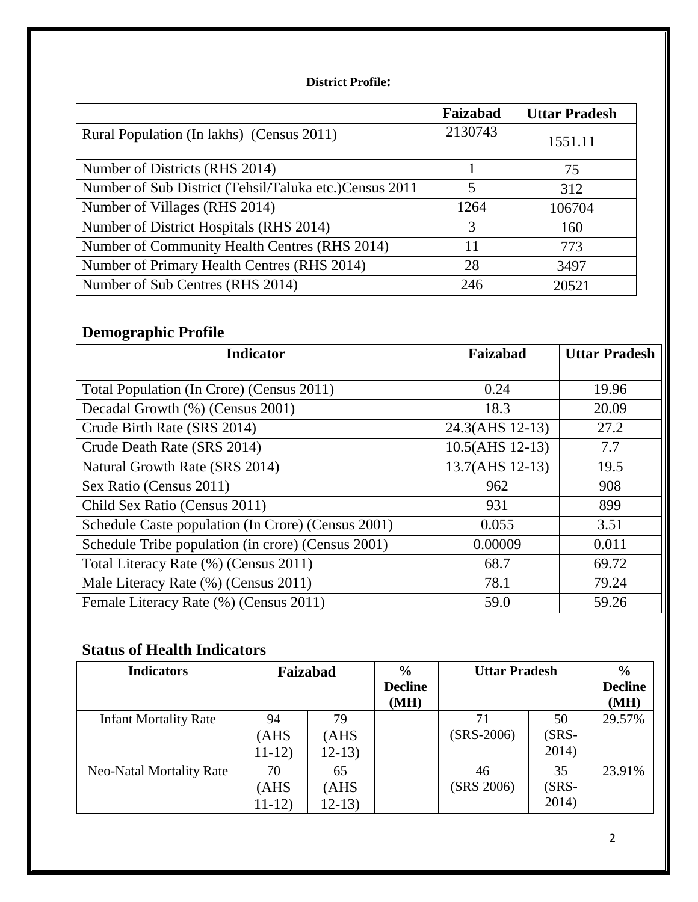### **District Profile:**

|                                                         | Faizabad | <b>Uttar Pradesh</b> |
|---------------------------------------------------------|----------|----------------------|
| Rural Population (In lakhs) (Census 2011)               | 2130743  | 1551.11              |
| Number of Districts (RHS 2014)                          |          | 75                   |
| Number of Sub District (Tehsil/Taluka etc.) Census 2011 | 5        | 312                  |
| Number of Villages (RHS 2014)                           | 1264     | 106704               |
| Number of District Hospitals (RHS 2014)                 | 3        | 160                  |
| Number of Community Health Centres (RHS 2014)           | 11       | 773                  |
| Number of Primary Health Centres (RHS 2014)             | 28       | 3497                 |
| Number of Sub Centres (RHS 2014)                        | 246      | 20521                |

# **Demographic Profile**

| <b>Indicator</b>                                   | Faizabad        | <b>Uttar Pradesh</b> |
|----------------------------------------------------|-----------------|----------------------|
|                                                    |                 |                      |
| Total Population (In Crore) (Census 2011)          | 0.24            | 19.96                |
| Decadal Growth (%) (Census 2001)                   | 18.3            | 20.09                |
| Crude Birth Rate (SRS 2014)                        | 24.3(AHS 12-13) | 27.2                 |
| Crude Death Rate (SRS 2014)                        | 10.5(AHS 12-13) | 7.7                  |
| Natural Growth Rate (SRS 2014)                     | 13.7(AHS 12-13) | 19.5                 |
| Sex Ratio (Census 2011)                            | 962             | 908                  |
| Child Sex Ratio (Census 2011)                      | 931             | 899                  |
| Schedule Caste population (In Crore) (Census 2001) | 0.055           | 3.51                 |
| Schedule Tribe population (in crore) (Census 2001) | 0.00009         | 0.011                |
| Total Literacy Rate (%) (Census 2011)              | 68.7            | 69.72                |
| Male Literacy Rate (%) (Census 2011)               | 78.1            | 79.24                |
| Female Literacy Rate (%) (Census 2011)             | 59.0            | 59.26                |

## **Status of Health Indicators**

| <b>Indicators</b>               | Faizabad              |                             | $\frac{0}{0}$<br><b>Decline</b><br>(MH) | <b>Uttar Pradesh</b> |                         | $\frac{6}{9}$<br><b>Decline</b><br>(MH) |
|---------------------------------|-----------------------|-----------------------------|-----------------------------------------|----------------------|-------------------------|-----------------------------------------|
| <b>Infant Mortality Rate</b>    | 94<br>(AHS<br>$11-12$ | 79<br>AHS<br>$12-13$        |                                         | 71<br>$(SRS-2006)$   | 50<br>$(SRS -$<br>2014) | 29.57%                                  |
| <b>Neo-Natal Mortality Rate</b> | 70<br>(AHS<br>$11-12$ | 65<br><b>AHS</b><br>$12-13$ |                                         | 46<br>(SRS 2006)     | 35<br>$(SRS -$<br>2014) | 23.91%                                  |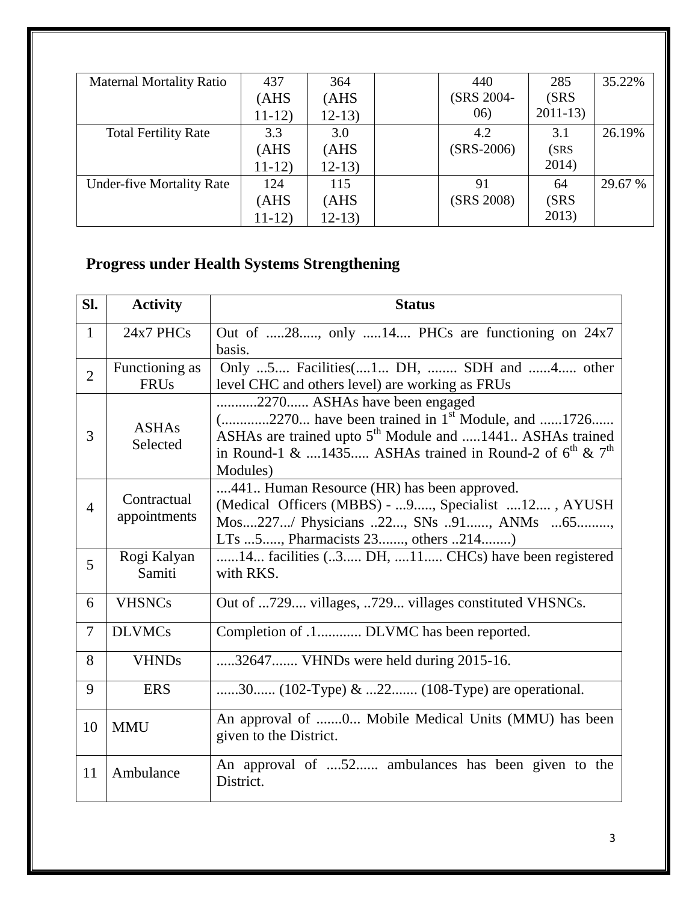| <b>Maternal Mortality Ratio</b>  | 437     | 364      | 440          | 285       | 35.22%  |
|----------------------------------|---------|----------|--------------|-----------|---------|
|                                  | (AHS)   | (AHS)    | (SRS 2004-   | (SRS      |         |
|                                  | $11-12$ | $12-13)$ | (06)         | $2011-13$ |         |
| <b>Total Fertility Rate</b>      | 3.3     | 3.0      | 4.2          | 3.1       | 26.19%  |
|                                  | (AHS)   | (AHS)    | $(SRS-2006)$ | (SRS)     |         |
|                                  | $11-12$ | $12-13)$ |              | 2014)     |         |
| <b>Under-five Mortality Rate</b> | 124     | 115      | 91           | 64        | 29.67 % |
|                                  | (AHS)   | (AHS)    | (SRS 2008)   | (SRS      |         |
|                                  | $11-12$ | $12-13)$ |              | 2013)     |         |

# **Progress under Health Systems Strengthening**

| SI.            | <b>Activity</b>               | <b>Status</b>                                                                                                                                                                                                                                 |
|----------------|-------------------------------|-----------------------------------------------------------------------------------------------------------------------------------------------------------------------------------------------------------------------------------------------|
| $\mathbf{1}$   | 24x7 PHCs                     | Out of 28, only 14 PHCs are functioning on 24x7<br>basis.                                                                                                                                                                                     |
| $\overline{2}$ | Functioning as<br><b>FRUs</b> | Only 5 Facilities(1 DH,  SDH and 4 other<br>level CHC and others level) are working as FRUs                                                                                                                                                   |
| 3              | <b>ASHAs</b><br>Selected      | 2270 ASHAs have been engaged<br>$($ 2270 have been trained in $1st$ Module, and 1726<br>ASHAs are trained upto 5 <sup>th</sup> Module and 1441 ASHAs trained<br>in Round-1 & 1435 ASHAs trained in Round-2 of $6^{th}$ & $7^{th}$<br>Modules) |
| $\overline{4}$ | Contractual<br>appointments   | 441 Human Resource (HR) has been approved.<br>(Medical Officers (MBBS) -  9, Specialist  12, AYUSH<br>Mos227/ Physicians 22, SNs 91, ANMs 65,<br>LTs 5, Pharmacists 23, others 214)                                                           |
| 5              | Rogi Kalyan<br>Samiti         | 14 facilities (3 DH, 11 CHCs) have been registered<br>with RKS.                                                                                                                                                                               |
| 6              | <b>VHSNCs</b>                 | Out of 729 villages, 729 villages constituted VHSNCs.                                                                                                                                                                                         |
| $\overline{7}$ | <b>DLVMCs</b>                 | Completion of .1 DLVMC has been reported.                                                                                                                                                                                                     |
| 8              | <b>VHNDs</b>                  | 32647 VHNDs were held during 2015-16.                                                                                                                                                                                                         |
| 9              | <b>ERS</b>                    | 30 (102-Type) & 22 (108-Type) are operational.                                                                                                                                                                                                |
| 10             | <b>MMU</b>                    | An approval of 0 Mobile Medical Units (MMU) has been<br>given to the District.                                                                                                                                                                |
| 11             | Ambulance                     | An approval of 52 ambulances has been given to the<br>District.                                                                                                                                                                               |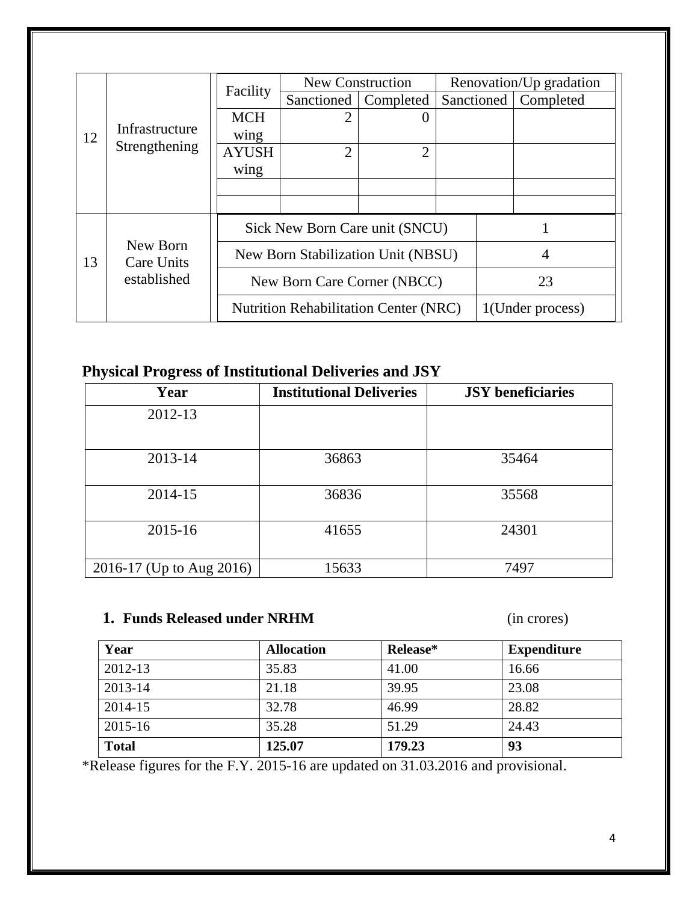|    |                        |                                    | <b>New Construction</b>                      |                |  |    | Renovation/Up gradation |
|----|------------------------|------------------------------------|----------------------------------------------|----------------|--|----|-------------------------|
|    |                        | Facility                           | Sanctioned                                   | Completed      |  |    | Sanctioned   Completed  |
|    |                        | <b>MCH</b>                         | 2                                            |                |  |    |                         |
| 12 | Infrastructure         | wing                               |                                              |                |  |    |                         |
|    | Strengthening          | <b>AYUSH</b>                       | $\overline{2}$                               | $\overline{2}$ |  |    |                         |
|    |                        | wing                               |                                              |                |  |    |                         |
|    |                        |                                    |                                              |                |  |    |                         |
|    |                        |                                    |                                              |                |  |    |                         |
|    |                        |                                    | Sick New Born Care unit (SNCU)               |                |  |    |                         |
| 13 | New Born<br>Care Units | New Born Stabilization Unit (NBSU) |                                              |                |  |    | 4                       |
|    | established            | New Born Care Corner (NBCC)        |                                              |                |  | 23 |                         |
|    |                        |                                    | <b>Nutrition Rehabilitation Center (NRC)</b> |                |  |    | 1(Under process)        |

## **Physical Progress of Institutional Deliveries and JSY**

| Year                     | <b>Institutional Deliveries</b> | <b>JSY</b> beneficiaries |
|--------------------------|---------------------------------|--------------------------|
| 2012-13                  |                                 |                          |
| 2013-14                  | 36863                           | 35464                    |
| 2014-15                  | 36836                           | 35568                    |
| 2015-16                  | 41655                           | 24301                    |
| 2016-17 (Up to Aug 2016) | 15633                           | 7497                     |

## **1. Funds Released under NRHM** (in crores)

| Year         | <b>Allocation</b> | Release* | <b>Expenditure</b> |
|--------------|-------------------|----------|--------------------|
| 2012-13      | 35.83             | 41.00    | 16.66              |
| 2013-14      | 21.18             | 39.95    | 23.08              |
| 2014-15      | 32.78             | 46.99    | 28.82              |
| 2015-16      | 35.28             | 51.29    | 24.43              |
| <b>Total</b> | 125.07            | 179.23   | 93                 |

\*Release figures for the F.Y. 2015-16 are updated on 31.03.2016 and provisional.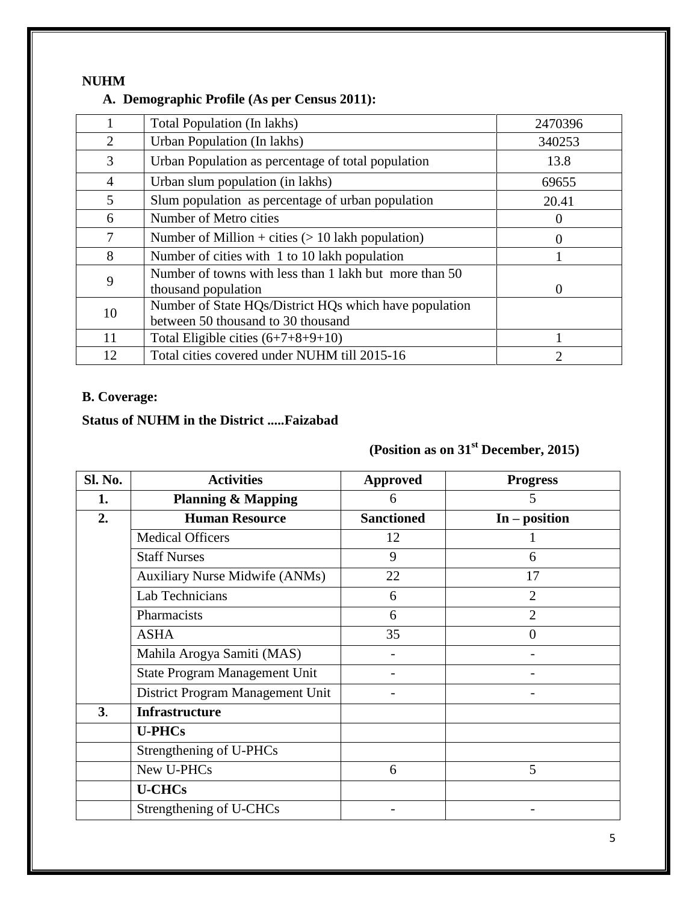#### **NUHM**

## **A. Demographic Profile (As per Census 2011):**

|                | Total Population (In lakhs)                                                                  | 2470396  |
|----------------|----------------------------------------------------------------------------------------------|----------|
| 2              | Urban Population (In lakhs)                                                                  | 340253   |
| 3              | Urban Population as percentage of total population                                           | 13.8     |
| $\overline{4}$ | Urban slum population (in lakhs)                                                             | 69655    |
| 5              | Slum population as percentage of urban population                                            | 20.41    |
| 6              | Number of Metro cities                                                                       | $\theta$ |
| 7              | Number of Million + cities $(> 10$ lakh population)                                          | 0        |
| 8              | Number of cities with 1 to 10 lakh population                                                |          |
| 9              | Number of towns with less than 1 lakh but more than 50<br>thousand population                | $\theta$ |
| 10             | Number of State HQs/District HQs which have population<br>between 50 thousand to 30 thousand |          |
| 11             | Total Eligible cities $(6+7+8+9+10)$                                                         |          |
| 12             | Total cities covered under NUHM till 2015-16                                                 | 2        |

## **B. Coverage:**

### **Status of NUHM in the District .....Faizabad**

## **(Position as on 31st December, 2015)**

| Sl. No. | <b>Activities</b>                     | <b>Approved</b>   | <b>Progress</b> |
|---------|---------------------------------------|-------------------|-----------------|
| 1.      | <b>Planning &amp; Mapping</b>         | 6                 | 5               |
| 2.      | <b>Human Resource</b>                 | <b>Sanctioned</b> | $In - position$ |
|         | <b>Medical Officers</b>               | 12                |                 |
|         | <b>Staff Nurses</b>                   | 9                 | 6               |
|         | <b>Auxiliary Nurse Midwife (ANMs)</b> | 22                | 17              |
|         | Lab Technicians                       | 6                 | $\overline{2}$  |
|         | Pharmacists                           | 6                 | $\overline{2}$  |
|         | <b>ASHA</b>                           | 35                | $\theta$        |
|         | Mahila Arogya Samiti (MAS)            |                   |                 |
|         | State Program Management Unit         |                   |                 |
|         | District Program Management Unit      |                   |                 |
| 3.      | <b>Infrastructure</b>                 |                   |                 |
|         | <b>U-PHCs</b>                         |                   |                 |
|         | Strengthening of U-PHCs               |                   |                 |
|         | New U-PHCs                            | 6                 | 5               |
|         | <b>U-CHCs</b>                         |                   |                 |
|         | Strengthening of U-CHCs               |                   |                 |